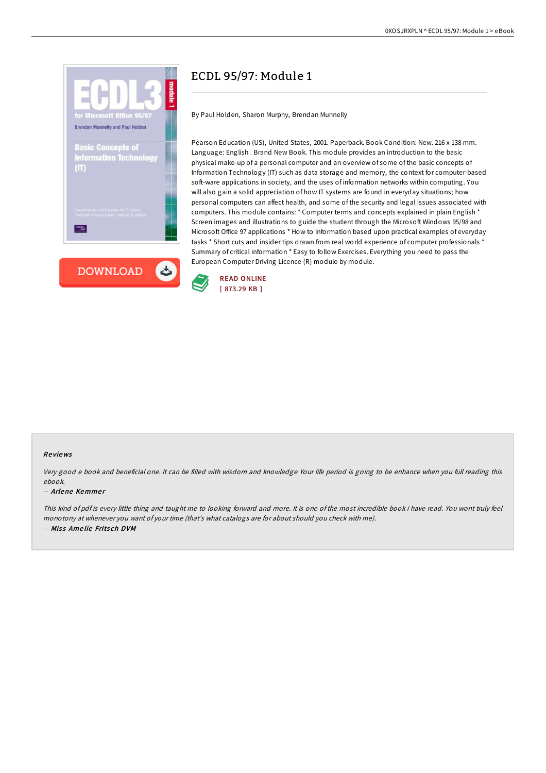

## ECDL 95/97: Module 1

By Paul Holden, Sharon Murphy, Brendan Munnelly

Pearson Education (US), United States, 2001. Paperback. Book Condition: New. 216 x 138 mm. Language: English . Brand New Book. This module provides an introduction to the basic physical make-up of a personal computer and an overview of some of the basic concepts of Information Technology (IT) such as data storage and memory, the context for computer-based soft-ware applications in society, and the uses of information networks within computing. You will also gain a solid appreciation of how IT systems are found in everyday situations; how personal computers can affect health, and some of the security and legal issues associated with computers. This module contains: \* Computer terms and concepts explained in plain English \* Screen images and illustrations to guide the student through the Microsoft Windows 95/98 and Microsoft Office 97 applications \* How to information based upon practical examples of everyday tasks \* Short cuts and insider tips drawn from real world experience of computer professionals \* Summary of critical information \* Easy to follow Exercises. Everything you need to pass the European Computer Driving Licence (R) module by module.



## Re views

Very good <sup>e</sup> book and beneficial one. It can be filled with wisdom and knowledge Your life period is going to be enhance when you full reading this ebook.

## -- Arlene Kemmer

This kind of pdf is every little thing and taught me to looking forward and more. It is one of the most incredible book i have read. You wont truly feel monotony at whenever you want of your time (that's what catalogs are for about should you check with me). -- Miss Amelie Fritsch DVM